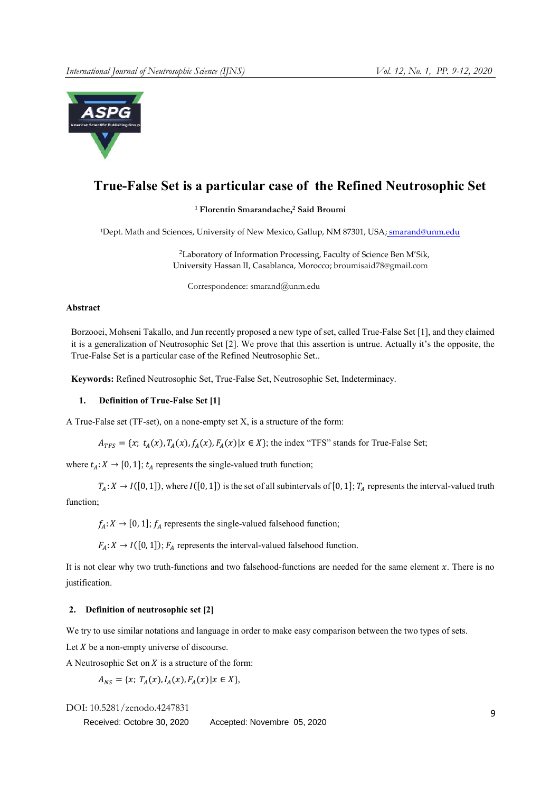

# True-False Set is a particular case of the Refined Neutrosophic Set

# <sup>1</sup> Florentin Smarandache, <sup>2</sup> Said Broumi

<sup>1</sup>Dept. Math and Sciences, University of New Mexico, Gallup, NM 87301, USA; smarand@unm.edu

 <sup>2</sup>Laboratory of Information Processing, Faculty of Science Ben M'Sik, University Hassan II, Casablanca, Morocco; broumisaid78@gmail.com

Correspondence: smarand@unm.edu

#### Abstract

Borzooei, Mohseni Takallo, and Jun recently proposed a new type of set, called True-False Set [1], and they claimed it is a generalization of Neutrosophic Set [2]. We prove that this assertion is untrue. Actually it's the opposite, the True-False Set is a particular case of the Refined Neutrosophic Set..

Keywords: Refined Neutrosophic Set, True-False Set, Neutrosophic Set, Indeterminacy.

#### 1. Definition of True-False Set [1]

A True-False set (TF-set), on a none-empty set X, is a structure of the form:

 $A_{TFS} = \{x; t_A(x), T_A(x), f_A(x), F_A(x) | x \in X\};$  the index "TFS" stands for True-False Set;

where  $t_A: X \to [0, 1]$ ;  $t_A$  represents the single-valued truth function;

 $T_A: X \to I([0, 1])$ , where  $I([0, 1])$  is the set of all subintervals of [0, 1];  $T_A$  represents the interval-valued truth function:

 $f_A: X \to [0, 1]$ ;  $f_A$  represents the single-valued falsehood function;

 $F_A: X \to I([0, 1])$ ;  $F_A$  represents the interval-valued falsehood function.

It is not clear why two truth-functions and two falsehood-functions are needed for the same element  $x$ . There is no justification.

## 2. Definition of neutrosophic set [2]

We try to use similar notations and language in order to make easy comparison between the two types of sets.

Let  $X$  be a non-empty universe of discourse.

A Neutrosophic Set on  $X$  is a structure of the form:

$$
A_{NS} = \{x; T_A(x), I_A(x), F_A(x) | x \in X\},\
$$

DOI: 10.5281/zenodo.4247831 <sup>9</sup> Accepted: Novembre 05, 2020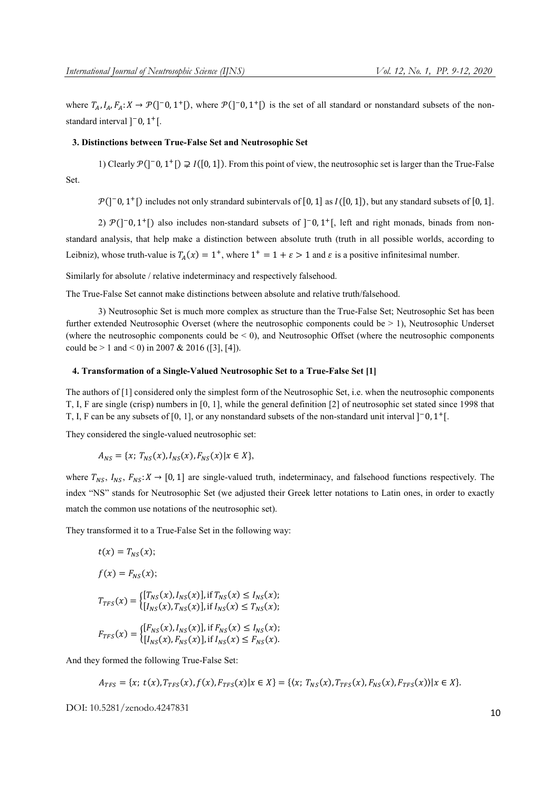where  $T_A$ ,  $I_A$ ,  $F_A: X \to \mathcal{P}(\mathcal{b}^{-1}, \mathcal{b}^{-1})$ , where  $\mathcal{P}(\mathcal{b}^{-1}, \mathcal{b}^{-1})$  is the set of all standard or nonstandard subsets of the nonstandard interval  $]$ <sup>-</sup>0, 1<sup>+</sup>[.

# 3. Distinctions between True-False Set and Neutrosophic Set

1) Clearly  $\mathcal{P}([-0, 1^+]) \supsetneq I([0, 1])$ . From this point of view, the neutrosophic set is larger than the True-False Set.

 $\mathcal{P}([-0, 1^+])$  includes not only strandard subintervals of [0, 1] as  $I([0, 1])$ , but any standard subsets of [0, 1].

2)  $\mathcal{P}([-0, 1^+])$  also includes non-standard subsets of  $[-0, 1^+]$ , left and right monads, binads from nonstandard analysis, that help make a distinction between absolute truth (truth in all possible worlds, according to Leibniz), whose truth-value is  $T_A(x) = 1^+$ , where  $1^+ = 1 + \varepsilon > 1$  and  $\varepsilon$  is a positive infinitesimal number.

Similarly for absolute / relative indeterminacy and respectively falsehood.

The True-False Set cannot make distinctions between absolute and relative truth/falsehood.

3) Neutrosophic Set is much more complex as structure than the True-False Set; Neutrosophic Set has been further extended Neutrosophic Overset (where the neutrosophic components could be > 1), Neutrosophic Underset (where the neutrosophic components could be  $\leq$  0), and Neutrosophic Offset (where the neutrosophic components could be  $> 1$  and  $< 0$ ) in 2007 & 2016 ([3], [4]).

# 4. Transformation of a Single-Valued Neutrosophic Set to a True-False Set [1]

The authors of [1] considered only the simplest form of the Neutrosophic Set, i.e. when the neutrosophic components T, I, F are single (crisp) numbers in [0, 1], while the general definition [2] of neutrosophic set stated since 1998 that T, I, F can be any subsets of [0, 1], or any nonstandard subsets of the non-standard unit interval  $]$ <sup>-</sup>0,  $1$ <sup>+</sup>[.

They considered the single-valued neutrosophic set:

$$
A_{NS} = \{x; T_{NS}(x), I_{NS}(x), F_{NS}(x) | x \in X\},\
$$

where  $T_{NS}$ ,  $I_{NS}$ ,  $F_{NS}$ :  $X \rightarrow [0, 1]$  are single-valued truth, indeterminacy, and falsehood functions respectively. The index "NS" stands for Neutrosophic Set (we adjusted their Greek letter notations to Latin ones, in order to exactly match the common use notations of the neutrosophic set).

They transformed it to a True-False Set in the following way:

$$
t(x) = T_{NS}(x);
$$
  
\n
$$
f(x) = F_{NS}(x);
$$
  
\n
$$
T_{TFS}(x) = \begin{cases} [T_{NS}(x), I_{NS}(x)], \text{if } T_{NS}(x) \le I_{NS}(x); \\ [I_{NS}(x), T_{NS}(x)], \text{if } I_{NS}(x) \le T_{NS}(x); \end{cases}
$$
  
\n
$$
F_{TFS}(x) = \begin{cases} [F_{NS}(x), I_{NS}(x)], \text{if } F_{NS}(x) \le I_{NS}(x); \\ [I_{NS}(x), F_{NS}(x)], \text{if } I_{NS}(x) \le F_{NS}(x). \end{cases}
$$

And they formed the following True-False Set:

$$
A_{TFS} = \{x; t(x), T_{TFS}(x), f(x), F_{TFS}(x) | x \in X\} = \{\langle x; T_{NS}(x), T_{TFS}(x), F_{NS}(x), F_{TFS}(x) \rangle | x \in X\}.
$$

DOI: 10.5281/zenodo.4247831 10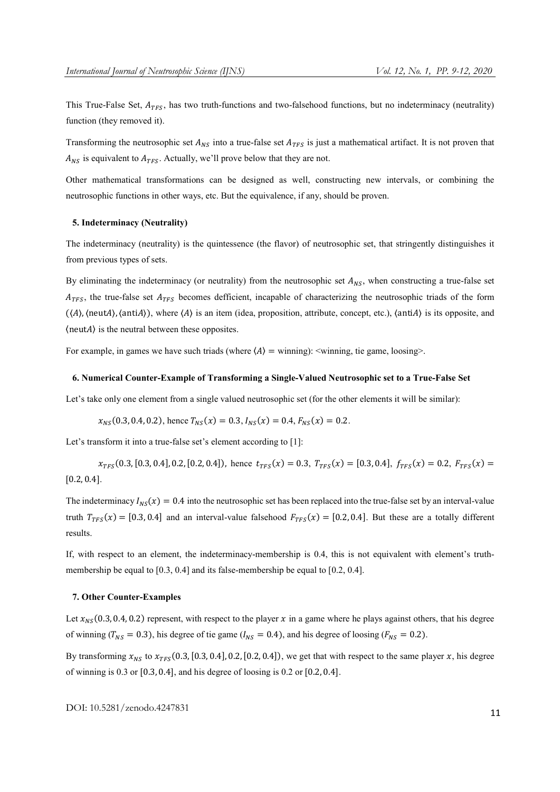This True-False Set,  $A_{TFS}$ , has two truth-functions and two-falsehood functions, but no indeterminacy (neutrality) function (they removed it).

Transforming the neutrosophic set  $A_{NS}$  into a true-false set  $A_{TFS}$  is just a mathematical artifact. It is not proven that  $A_{NS}$  is equivalent to  $A_{TFS}$ . Actually, we'll prove below that they are not.

Other mathematical transformations can be designed as well, constructing new intervals, or combining the neutrosophic functions in other ways, etc. But the equivalence, if any, should be proven.

## 5. Indeterminacy (Neutrality)

The indeterminacy (neutrality) is the quintessence (the flavor) of neutrosophic set, that stringently distinguishes it from previous types of sets.

By eliminating the indeterminacy (or neutrality) from the neutrosophic set  $A_{NS}$ , when constructing a true-false set  $A_{TFS}$ , the true-false set  $A_{TFS}$  becomes defficient, incapable of characterizing the neutrosophic triads of the form  $(\langle A \rangle, \langle \text{neut}A \rangle, \langle \text{anti}A \rangle)$ , where  $\langle A \rangle$  is an item (idea, proposition, attribute, concept, etc.),  $\langle \text{anti}A \rangle$  is its opposite, and  $\langle$  neut $A$ ) is the neutral between these opposites.

For example, in games we have such triads (where  $\langle A \rangle$  = winning):  $\langle$  winning, tie game, loosing  $\rangle$ .

### 6. Numerical Counter-Example of Transforming a Single-Valued Neutrosophic set to a True-False Set

Let's take only one element from a single valued neutrosophic set (for the other elements it will be similar):

$$
x_{NS}(0.3, 0.4, 0.2)
$$
, hence  $T_{NS}(x) = 0.3$ ,  $I_{NS}(x) = 0.4$ ,  $F_{NS}(x) = 0.2$ .

Let's transform it into a true-false set's element according to [1]:

 $\chi_{TFS}(0.3,[0.3, 0.4], 0.2,[0.2, 0.4])$ , hence  $t_{TFS}(x) = 0.3$ ,  $T_{TFS}(x) = [0.3, 0.4], f_{TFS}(x) = 0.2, F_{TFS}(x) =$ [0.2, 0.4].

The indeterminacy  $I_{NS}(x) = 0.4$  into the neutrosophic set has been replaced into the true-false set by an interval-value truth  $T_{TFS}(x) = [0.3, 0.4]$  and an interval-value falsehood  $F_{TFS}(x) = [0.2, 0.4]$ . But these are a totally different results.

If, with respect to an element, the indeterminacy-membership is 0.4, this is not equivalent with element's truthmembership be equal to [0.3, 0.4] and its false-membership be equal to [0.2, 0.4].

#### 7. Other Counter-Examples

Let  $x_{NS}(0.3, 0.4, 0.2)$  represent, with respect to the player x in a game where he plays against others, that his degree of winning ( $T_{NS} = 0.3$ ), his degree of tie game ( $I_{NS} = 0.4$ ), and his degree of loosing ( $F_{NS} = 0.2$ ).

By transforming  $x_{NS}$  to  $x_{TFS}$  (0.3, [0.3, 0.4], 0.2, [0.2, 0.4]), we get that with respect to the same player x, his degree of winning is 0.3 or [0.3, 0.4], and his degree of loosing is 0.2 or [0.2, 0.4].

DOI: 10.5281/zenodo.4247831 11